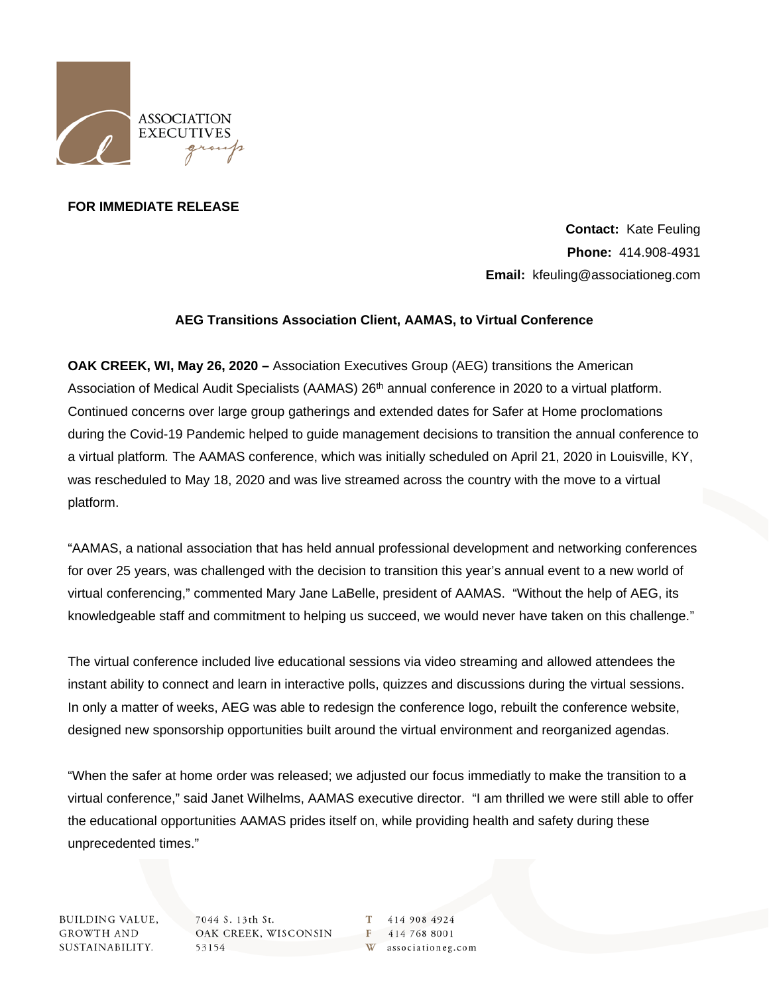

## **FOR IMMEDIATE RELEASE**

**Contact:** Kate Feuling **Phone:** 414.908-4931 **Email:** kfeuling@associationeg.com

## **AEG Transitions Association Client, AAMAS, to Virtual Conference**

**OAK CREEK, WI, May 26, 2020 –** Association Executives Group (AEG) transitions the American Association of Medical Audit Specialists (AAMAS) 26<sup>th</sup> annual conference in 2020 to a virtual platform. Continued concerns over large group gatherings and extended dates for Safer at Home proclomations during the Covid-19 Pandemic helped to guide management decisions to transition the annual conference to a virtual platform*.* The AAMAS conference, which was initially scheduled on April 21, 2020 in Louisville, KY, was rescheduled to May 18, 2020 and was live streamed across the country with the move to a virtual platform.

"AAMAS, a national association that has held annual professional development and networking conferences for over 25 years, was challenged with the decision to transition this year's annual event to a new world of virtual conferencing," commented Mary Jane LaBelle, president of AAMAS. "Without the help of AEG, its knowledgeable staff and commitment to helping us succeed, we would never have taken on this challenge."

The virtual conference included live educational sessions via video streaming and allowed attendees the instant ability to connect and learn in interactive polls, quizzes and discussions during the virtual sessions. In only a matter of weeks, AEG was able to redesign the conference logo, rebuilt the conference website, designed new sponsorship opportunities built around the virtual environment and reorganized agendas.

"When the safer at home order was released; we adjusted our focus immediatly to make the transition to a virtual conference," said Janet Wilhelms, AAMAS executive director. "I am thrilled we were still able to offer the educational opportunities AAMAS prides itself on, while providing health and safety during these unprecedented times."

**BUILDING VALUE, GROWTH AND** SUSTAINABILITY.

7044 S. 13th St. OAK CREEK, WISCONSIN 53154

414 908 4924 F 414 768 8001 W associationeg.com